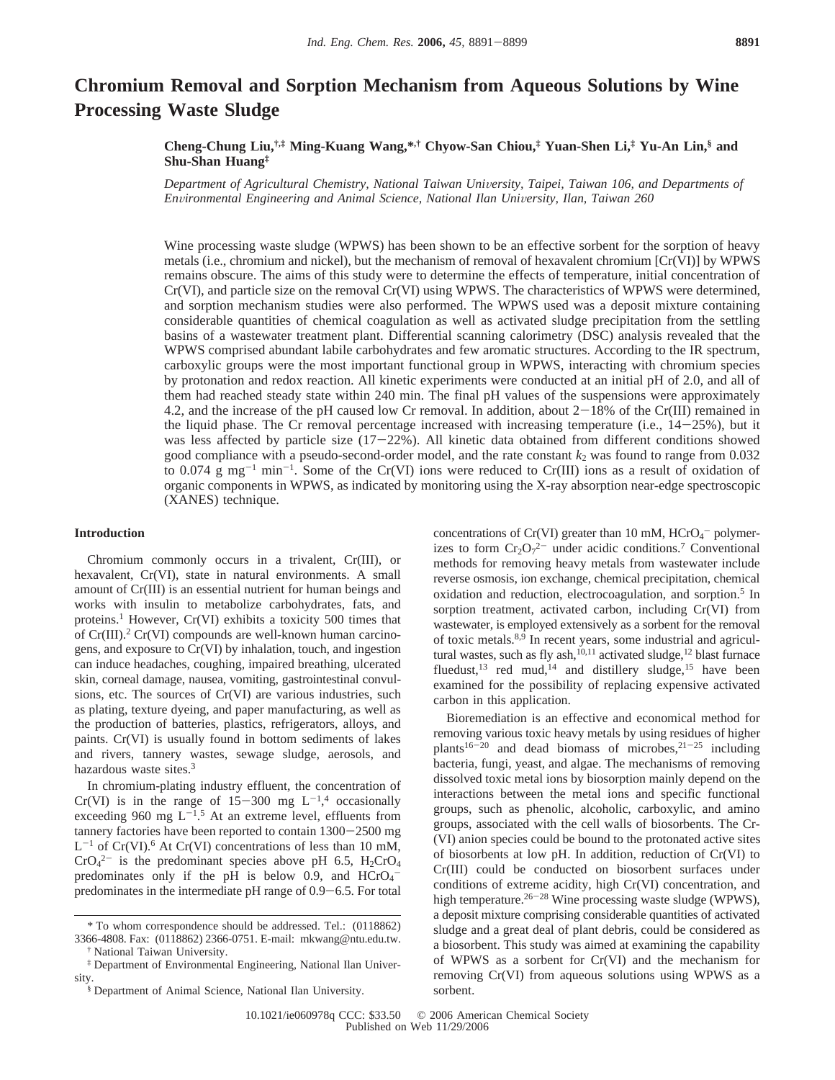# **Chromium Removal and Sorption Mechanism from Aqueous Solutions by Wine Processing Waste Sludge**

## **Cheng-Chung Liu,†,‡ Ming-Kuang Wang,\*,† Chyow-San Chiou,‡ Yuan-Shen Li,‡ Yu-An Lin,§ and Shu-Shan Huang‡**

*Department of Agricultural Chemistry, National Taiwan University, Taipei, Taiwan 106, and Departments of Environmental Engineering and Animal Science, National Ilan University, Ilan, Taiwan 260* 

Wine processing waste sludge (WPWS) has been shown to be an effective sorbent for the sorption of heavy metals (i.e., chromium and nickel), but the mechanism of removal of hexavalent chromium [Cr(VI)] by WPWS remains obscure. The aims of this study were to determine the effects of temperature, initial concentration of Cr(VI), and particle size on the removal Cr(VI) using WPWS. The characteristics of WPWS were determined, and sorption mechanism studies were also performed. The WPWS used was a deposit mixture containing considerable quantities of chemical coagulation as well as activated sludge precipitation from the settling basins of a wastewater treatment plant. Differential scanning calorimetry (DSC) analysis revealed that the WPWS comprised abundant labile carbohydrates and few aromatic structures. According to the IR spectrum, carboxylic groups were the most important functional group in WPWS, interacting with chromium species by protonation and redox reaction. All kinetic experiments were conducted at an initial pH of 2.0, and all of them had reached steady state within 240 min. The final pH values of the suspensions were approximately 4.2, and the increase of the pH caused low Cr removal. In addition, about  $2-18%$  of the Cr(III) remained in the liquid phase. The Cr removal percentage increased with increasing temperature (i.e.,  $14-25\%$ ), but it was less affected by particle size  $(17-22)$ %). All kinetic data obtained from different conditions showed good compliance with a pseudo-second-order model, and the rate constant  $k_2$  was found to range from  $0.032$ to 0.074  $g$  mg<sup>-1</sup> min<sup>-1</sup>. Some of the Cr(VI) ions were reduced to Cr(III) ions as a result of oxidation of organic components in WPWS, as indicated by monitoring using the X-ray absorption near-edge spectroscopic (XANES) technique.

### **Introduction**

Chromium commonly occurs in a trivalent, Cr(III), or hexavalent, Cr(VI), state in natural environments. A small amount of Cr(III) is an essential nutrient for human beings and works with insulin to metabolize carbohydrates, fats, and proteins.1 However, Cr(VI) exhibits a toxicity 500 times that of  $Cr(III)$ .<sup>2</sup>  $Cr(VI)$  compounds are well-known human carcinogens, and exposure to Cr(VI) by inhalation, touch, and ingestion can induce headaches, coughing, impaired breathing, ulcerated skin, corneal damage, nausea, vomiting, gastrointestinal convulsions, etc. The sources of Cr(VI) are various industries, such as plating, texture dyeing, and paper manufacturing, as well as the production of batteries, plastics, refrigerators, alloys, and paints. Cr(VI) is usually found in bottom sediments of lakes and rivers, tannery wastes, sewage sludge, aerosols, and hazardous waste sites.3

In chromium-plating industry effluent, the concentration of Cr(VI) is in the range of  $15-300$  mg  $L^{-1,4}$  occasionally<br>exceeding 960 mg  $L^{-1.5}$  At an extreme level effluents from exceeding 960 mg  $L^{-1.5}$  At an extreme level, effluents from tannery factories have been reported to contain 1300-2500 mg  $L^{-1}$  of Cr(VI).<sup>6</sup> At Cr(VI) concentrations of less than 10 mM,  $CrO<sub>4</sub><sup>2-</sup>$  is the predominant species above pH 6.5, H<sub>2</sub>CrO<sub>4</sub> predominates only if the pH is below 0.9, and  $HCrO<sub>4</sub>$ predominates in the intermediate pH range of 0.9-6.5. For total

concentrations of Cr(VI) greater than  $10 \text{ mM}$ , HCrO<sub>4</sub><sup> $-$ </sup> polymerizes to form  $Cr_2O_7^{2-}$  under acidic conditions.<sup>7</sup> Conventional methods for removing heavy metals from wastewater include reverse osmosis, ion exchange, chemical precipitation, chemical oxidation and reduction, electrocoagulation, and sorption.5 In sorption treatment, activated carbon, including Cr(VI) from wastewater, is employed extensively as a sorbent for the removal of toxic metals. $8,9$  In recent years, some industrial and agricultural wastes, such as fly ash,<sup>10,11</sup> activated sludge,<sup>12</sup> blast furnace fluedust, $13$  red mud,  $14$  and distillery sludge,  $15$  have been examined for the possibility of replacing expensive activated carbon in this application.

Bioremediation is an effective and economical method for removing various toxic heavy metals by using residues of higher plants<sup>16-20</sup> and dead biomass of microbes,<sup>21-25</sup> including bacteria, fungi, yeast, and algae. The mechanisms of removing dissolved toxic metal ions by biosorption mainly depend on the interactions between the metal ions and specific functional groups, such as phenolic, alcoholic, carboxylic, and amino groups, associated with the cell walls of biosorbents. The Cr- (VI) anion species could be bound to the protonated active sites of biosorbents at low pH. In addition, reduction of Cr(VI) to Cr(III) could be conducted on biosorbent surfaces under conditions of extreme acidity, high Cr(VI) concentration, and high temperature.<sup>26-28</sup> Wine processing waste sludge (WPWS), a deposit mixture comprising considerable quantities of activated sludge and a great deal of plant debris, could be considered as a biosorbent. This study was aimed at examining the capability of WPWS as a sorbent for Cr(VI) and the mechanism for removing Cr(VI) from aqueous solutions using WPWS as a sorbent.

<sup>\*</sup> To whom correspondence should be addressed. Tel.: (0118862) 3366-4808. Fax: (0118862) 2366-0751. E-mail: mkwang@ntu.edu.tw.

<sup>†</sup> National Taiwan University.

<sup>‡</sup> Department of Environmental Engineering, National Ilan University.

<sup>§</sup> Department of Animal Science, National Ilan University.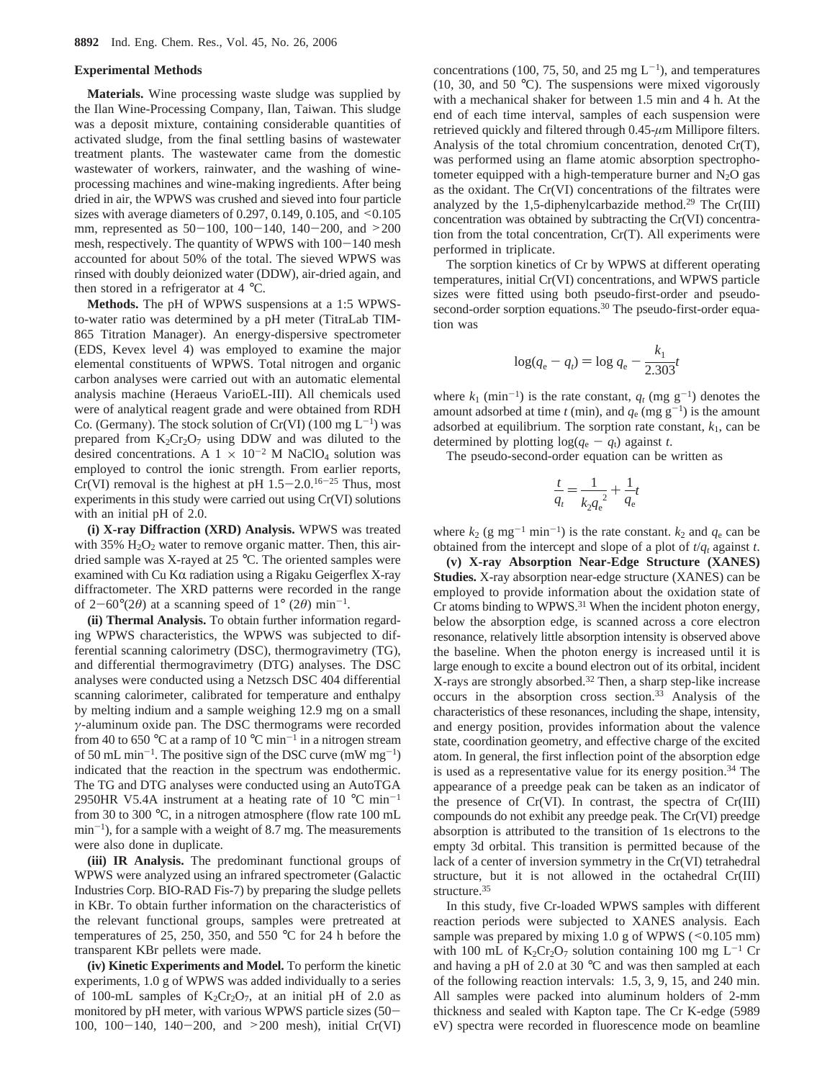#### **Experimental Methods**

**Materials.** Wine processing waste sludge was supplied by the Ilan Wine-Processing Company, Ilan, Taiwan. This sludge was a deposit mixture, containing considerable quantities of activated sludge, from the final settling basins of wastewater treatment plants. The wastewater came from the domestic wastewater of workers, rainwater, and the washing of wineprocessing machines and wine-making ingredients. After being dried in air, the WPWS was crushed and sieved into four particle sizes with average diameters of 0.297, 0.149, 0.105, and  $\leq 0.105$ mm, represented as  $50-100$ ,  $100-140$ ,  $140-200$ , and  $>200$ mesh, respectively. The quantity of WPWS with  $100-140$  mesh accounted for about 50% of the total. The sieved WPWS was rinsed with doubly deionized water (DDW), air-dried again, and then stored in a refrigerator at 4 °C.

**Methods.** The pH of WPWS suspensions at a 1:5 WPWSto-water ratio was determined by a pH meter (TitraLab TIM-865 Titration Manager). An energy-dispersive spectrometer (EDS, Kevex level 4) was employed to examine the major elemental constituents of WPWS. Total nitrogen and organic carbon analyses were carried out with an automatic elemental analysis machine (Heraeus VarioEL-III). All chemicals used were of analytical reagent grade and were obtained from RDH Co. (Germany). The stock solution of Cr(VI) (100 mg  $L^{-1}$ ) was prepared from  $K_2Cr_2O_7$  using DDW and was diluted to the desired concentrations. A  $1 \times 10^{-2}$  M NaClO<sub>4</sub> solution was employed to control the ionic strength. From earlier reports, Cr(VI) removal is the highest at pH  $1.5-2.0$ .<sup>16-25</sup> Thus, most experiments in this study were carried out using Cr(VI) solutions with an initial pH of 2.0.

**(i) X-ray Diffraction (XRD) Analysis.** WPWS was treated with  $35\%$  H<sub>2</sub>O<sub>2</sub> water to remove organic matter. Then, this airdried sample was X-rayed at 25 °C. The oriented samples were examined with Cu K $\alpha$  radiation using a Rigaku Geigerflex X-ray diffractometer. The XRD patterns were recorded in the range of  $2-60^{\circ}(2\theta)$  at a scanning speed of  $1^{\circ}(2\theta)$  min<sup>-1</sup>.

**(ii) Thermal Analysis.** To obtain further information regarding WPWS characteristics, the WPWS was subjected to differential scanning calorimetry (DSC), thermogravimetry (TG), and differential thermogravimetry (DTG) analyses. The DSC analyses were conducted using a Netzsch DSC 404 differential scanning calorimeter, calibrated for temperature and enthalpy by melting indium and a sample weighing 12.9 mg on a small *γ*-aluminum oxide pan. The DSC thermograms were recorded from 40 to 650 °C at a ramp of 10 °C min<sup>-1</sup> in a nitrogen stream of 50 mL min<sup>-1</sup>. The positive sign of the DSC curve (mW mg<sup>-1</sup>) indicated that the reaction in the spectrum was endothermic. The TG and DTG analyses were conducted using an AutoTGA 2950HR V5.4A instrument at a heating rate of 10  $^{\circ}$ C min<sup>-1</sup> from 30 to 300 °C, in a nitrogen atmosphere (flow rate 100 mL  $min^{-1}$ ), for a sample with a weight of 8.7 mg. The measurements were also done in duplicate.

**(iii) IR Analysis.** The predominant functional groups of WPWS were analyzed using an infrared spectrometer (Galactic Industries Corp. BIO-RAD Fis-7) by preparing the sludge pellets in KBr. To obtain further information on the characteristics of the relevant functional groups, samples were pretreated at temperatures of 25, 250, 350, and 550 °C for 24 h before the transparent KBr pellets were made.

**(iv) Kinetic Experiments and Model.** To perform the kinetic experiments, 1.0 g of WPWS was added individually to a series of 100-mL samples of  $K_2Cr_2O_7$ , at an initial pH of 2.0 as monitored by pH meter, with various WPWS particle sizes (50- 100, 100-140, 140-200, and >200 mesh), initial Cr(VI)

concentrations (100, 75, 50, and 25 mg  $L^{-1}$ ), and temperatures (10, 30, and 50 °C). The suspensions were mixed vigorously with a mechanical shaker for between 1.5 min and 4 h. At the end of each time interval, samples of each suspension were retrieved quickly and filtered through 0.45-*µ*m Millipore filters. Analysis of the total chromium concentration, denoted Cr(T), was performed using an flame atomic absorption spectrophotometer equipped with a high-temperature burner and  $N_2O$  gas as the oxidant. The Cr(VI) concentrations of the filtrates were analyzed by the 1,5-diphenylcarbazide method.<sup>29</sup> The Cr(III) concentration was obtained by subtracting the Cr(VI) concentration from the total concentration, Cr(T). All experiments were performed in triplicate.

The sorption kinetics of Cr by WPWS at different operating temperatures, initial Cr(VI) concentrations, and WPWS particle sizes were fitted using both pseudo-first-order and pseudosecond-order sorption equations.<sup>30</sup> The pseudo-first-order equation was

$$
\log(q_{\rm e} - q_{\rm i}) = \log q_{\rm e} - \frac{k_1}{2.303}t
$$

where  $k_1$  (min<sup>-1</sup>) is the rate constant,  $q_t$  (mg g<sup>-1</sup>) denotes the amount adsorbed at time  $t$  (min), and  $q_e$  (mg  $g^{-1}$ ) is the amount adsorbed at equilibrium. The sorption rate constant,  $k_1$ , can be determined by plotting  $log(q_e - q_t)$  against *t*.

The pseudo-second-order equation can be written as

$$
\frac{t}{q_t} = \frac{1}{k_2 q_e^2} + \frac{1}{q_e}t
$$

where  $k_2$  (g mg<sup>-1</sup> min<sup>-1</sup>) is the rate constant.  $k_2$  and  $q_e$  can be obtained from the intercept and slope of a plot of  $t/q_t$  against  $t$ .

**(v) X-ray Absorption Near-Edge Structure (XANES) Studies.** X-ray absorption near-edge structure (XANES) can be employed to provide information about the oxidation state of Cr atoms binding to WPWS.31 When the incident photon energy, below the absorption edge, is scanned across a core electron resonance, relatively little absorption intensity is observed above the baseline. When the photon energy is increased until it is large enough to excite a bound electron out of its orbital, incident X-rays are strongly absorbed.32 Then, a sharp step-like increase occurs in the absorption cross section.33 Analysis of the characteristics of these resonances, including the shape, intensity, and energy position, provides information about the valence state, coordination geometry, and effective charge of the excited atom. In general, the first inflection point of the absorption edge is used as a representative value for its energy position.<sup>34</sup> The appearance of a preedge peak can be taken as an indicator of the presence of Cr(VI). In contrast, the spectra of Cr(III) compounds do not exhibit any preedge peak. The Cr(VI) preedge absorption is attributed to the transition of 1s electrons to the empty 3d orbital. This transition is permitted because of the lack of a center of inversion symmetry in the Cr(VI) tetrahedral structure, but it is not allowed in the octahedral Cr(III) structure.35

In this study, five Cr-loaded WPWS samples with different reaction periods were subjected to XANES analysis. Each sample was prepared by mixing  $1.0$  g of WPWS ( $\leq 0.105$  mm) with 100 mL of  $K_2Cr_2O_7$  solution containing 100 mg L<sup>-1</sup> Cr and having a pH of 2.0 at 30 °C and was then sampled at each of the following reaction intervals: 1.5, 3, 9, 15, and 240 min. All samples were packed into aluminum holders of 2-mm thickness and sealed with Kapton tape. The Cr K-edge (5989 eV) spectra were recorded in fluorescence mode on beamline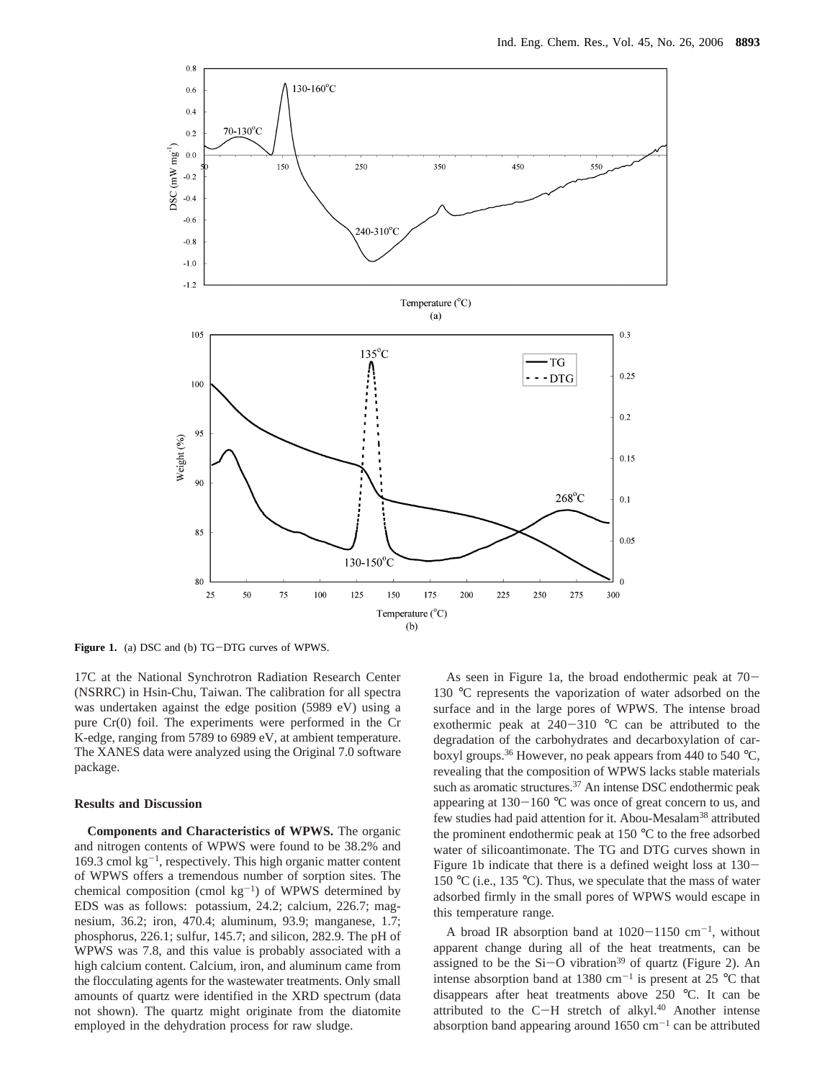

**Figure 1.** (a) DSC and (b) TG-DTG curves of WPWS.

17C at the National Synchrotron Radiation Research Center (NSRRC) in Hsin-Chu, Taiwan. The calibration for all spectra was undertaken against the edge position (5989 eV) using a pure Cr(0) foil. The experiments were performed in the Cr K-edge, ranging from 5789 to 6989 eV, at ambient temperature. The XANES data were analyzed using the Original 7.0 software package.

## **Results and Discussion**

**Components and Characteristics of WPWS.** The organic and nitrogen contents of WPWS were found to be 38.2% and 169.3 cmol  $kg^{-1}$ , respectively. This high organic matter content of WPWS offers a tremendous number of sorption sites. The chemical composition (cmol  $kg^{-1}$ ) of WPWS determined by EDS was as follows: potassium, 24.2; calcium, 226.7; magnesium, 36.2; iron, 470.4; aluminum, 93.9; manganese, 1.7; phosphorus, 226.1; sulfur, 145.7; and silicon, 282.9. The pH of WPWS was 7.8, and this value is probably associated with a high calcium content. Calcium, iron, and aluminum came from the flocculating agents for the wastewater treatments. Only small amounts of quartz were identified in the XRD spectrum (data not shown). The quartz might originate from the diatomite employed in the dehydration process for raw sludge.

As seen in Figure 1a, the broad endothermic peak at 70- 130 °C represents the vaporization of water adsorbed on the surface and in the large pores of WPWS. The intense broad exothermic peak at 240-<sup>310</sup> °C can be attributed to the degradation of the carbohydrates and decarboxylation of carboxyl groups.<sup>36</sup> However, no peak appears from 440 to 540  $^{\circ}$ C, revealing that the composition of WPWS lacks stable materials such as aromatic structures.<sup>37</sup> An intense DSC endothermic peak appearing at  $130-160$  °C was once of great concern to us, and few studies had paid attention for it. Abou-Mesalam<sup>38</sup> attributed the prominent endothermic peak at 150 °C to the free adsorbed water of silicoantimonate. The TG and DTG curves shown in Figure 1b indicate that there is a defined weight loss at 130- 150 °C (i.e., 135 °C). Thus, we speculate that the mass of water adsorbed firmly in the small pores of WPWS would escape in this temperature range.

A broad IR absorption band at  $1020-1150$  cm<sup>-1</sup>, without apparent change during all of the heat treatments, can be assigned to be the  $Si-O$  vibration<sup>39</sup> of quartz (Figure 2). An intense absorption band at 1380 cm<sup>-1</sup> is present at 25  $^{\circ}$ C that disappears after heat treatments above 250 °C. It can be attributed to the C-H stretch of alkyl. $40$  Another intense absorption band appearing around  $1650 \text{ cm}^{-1}$  can be attributed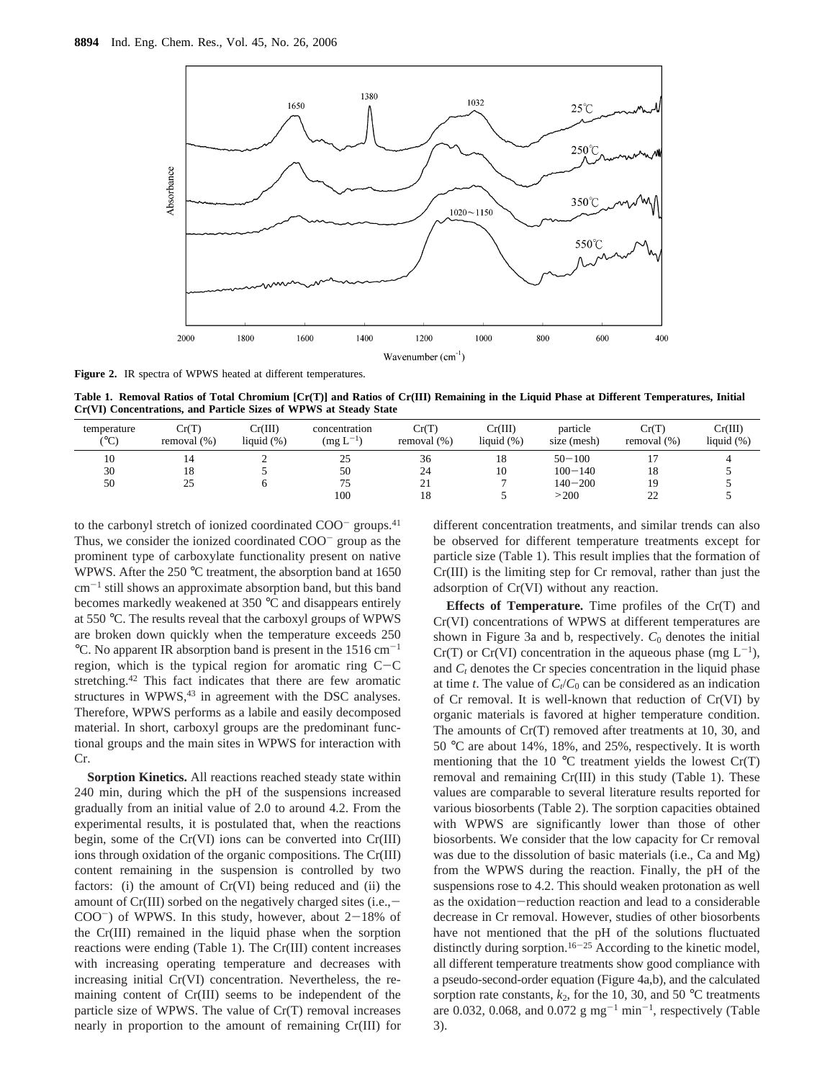

**Figure 2.** IR spectra of WPWS heated at different temperatures.

**Table 1. Removal Ratios of Total Chromium [Cr(T)] and Ratios of Cr(III) Remaining in the Liquid Phase at Different Temperatures, Initial Cr(VI) Concentrations, and Particle Sizes of WPWS at Steady State**

| temperature<br>(°C) | Cr(T)<br>removal $(\%)$ | Cr(III)<br>liquid $(\%)$ | concentration<br>$(mg L^{-1})$ | Cr(T)<br>removal (%) | Cr(III)<br>liquid $(\%)$ | particle<br>size (mesh) | Cr(T)<br>removal $(\%)$ | Cr(III)<br>liquid $(\%)$ |
|---------------------|-------------------------|--------------------------|--------------------------------|----------------------|--------------------------|-------------------------|-------------------------|--------------------------|
| 10                  | 14                      | ∼                        | 25                             | 36                   | 18                       | $50 - 100$              |                         |                          |
| 30                  | 18                      |                          | 50                             | 24                   | 10                       | $100 - 140$             | 18                      |                          |
| 50                  | 25                      |                          | 75                             | 21                   |                          | $140 - 200$             | 19                      |                          |
|                     |                         |                          | 100                            | 18                   |                          | >200                    | 22                      |                          |
|                     |                         |                          |                                |                      |                          |                         |                         |                          |

to the carbonyl stretch of ionized coordinated COO<sup>-</sup> groups.<sup>41</sup> Thus, we consider the ionized coordinated COO<sup>-</sup> group as the prominent type of carboxylate functionality present on native WPWS. After the 250 °C treatment, the absorption band at 1650  $cm^{-1}$  still shows an approximate absorption band, but this band becomes markedly weakened at 350 °C and disappears entirely at 550 °C. The results reveal that the carboxyl groups of WPWS are broken down quickly when the temperature exceeds 250 °C. No apparent IR absorption band is present in the  $1516 \text{ cm}^{-1}$ region, which is the typical region for aromatic ring  $C-C$ stretching.<sup>42</sup> This fact indicates that there are few aromatic structures in WPWS,<sup>43</sup> in agreement with the DSC analyses. Therefore, WPWS performs as a labile and easily decomposed material. In short, carboxyl groups are the predominant functional groups and the main sites in WPWS for interaction with Cr.

**Sorption Kinetics.** All reactions reached steady state within 240 min, during which the pH of the suspensions increased gradually from an initial value of 2.0 to around 4.2. From the experimental results, it is postulated that, when the reactions begin, some of the Cr(VI) ions can be converted into Cr(III) ions through oxidation of the organic compositions. The Cr(III) content remaining in the suspension is controlled by two factors: (i) the amount of Cr(VI) being reduced and (ii) the amount of  $Cr(III)$  sorbed on the negatively charged sites (i.e.,  $COO^{-}$ ) of WPWS. In this study, however, about  $2-18\%$  of the Cr(III) remained in the liquid phase when the sorption reactions were ending (Table 1). The Cr(III) content increases with increasing operating temperature and decreases with increasing initial Cr(VI) concentration. Nevertheless, the remaining content of Cr(III) seems to be independent of the particle size of WPWS. The value of Cr(T) removal increases nearly in proportion to the amount of remaining Cr(III) for

different concentration treatments, and similar trends can also be observed for different temperature treatments except for particle size (Table 1). This result implies that the formation of Cr(III) is the limiting step for Cr removal, rather than just the adsorption of Cr(VI) without any reaction.

**Effects of Temperature.** Time profiles of the Cr(T) and Cr(VI) concentrations of WPWS at different temperatures are shown in Figure 3a and b, respectively.  $C_0$  denotes the initial  $Cr(T)$  or  $Cr(VI)$  concentration in the aqueous phase (mg  $L^{-1}$ ), and  $C_t$  denotes the Cr species concentration in the liquid phase at time *t*. The value of  $C_t/C_0$  can be considered as an indication of Cr removal. It is well-known that reduction of Cr(VI) by organic materials is favored at higher temperature condition. The amounts of Cr(T) removed after treatments at 10, 30, and 50 °C are about 14%, 18%, and 25%, respectively. It is worth mentioning that the 10  $\degree$ C treatment yields the lowest Cr(T) removal and remaining Cr(III) in this study (Table 1). These values are comparable to several literature results reported for various biosorbents (Table 2). The sorption capacities obtained with WPWS are significantly lower than those of other biosorbents. We consider that the low capacity for Cr removal was due to the dissolution of basic materials (i.e., Ca and Mg) from the WPWS during the reaction. Finally, the pH of the suspensions rose to 4.2. This should weaken protonation as well as the oxidation-reduction reaction and lead to a considerable decrease in Cr removal. However, studies of other biosorbents have not mentioned that the pH of the solutions fluctuated distinctly during sorption.<sup>16-25</sup> According to the kinetic model, all different temperature treatments show good compliance with a pseudo-second-order equation (Figure 4a,b), and the calculated sorption rate constants,  $k_2$ , for the 10, 30, and 50 °C treatments are 0.032, 0.068, and 0.072 g mg<sup>-1</sup> min<sup>-1</sup>, respectively (Table 3).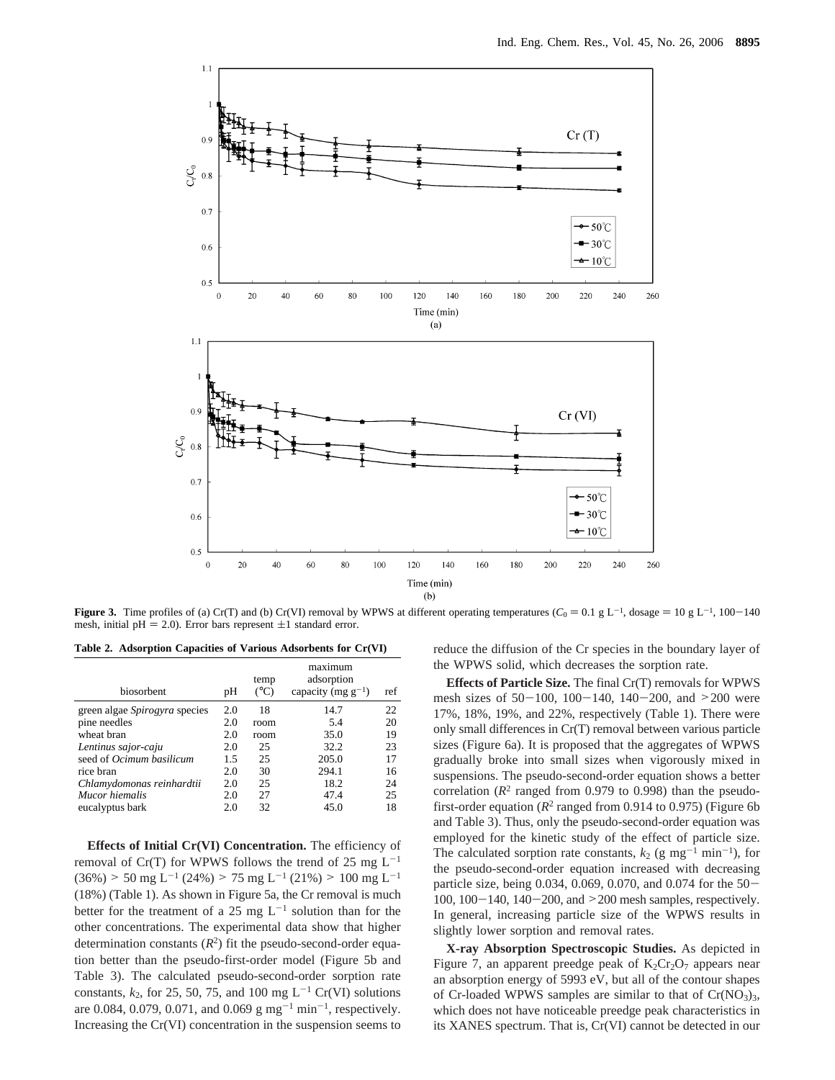

**Figure 3.** Time profiles of (a) Cr(T) and (b) Cr(VI) removal by WPWS at different operating temperatures ( $C_0 = 0.1$  g L<sup>-1</sup>, dosage = 10 g L<sup>-1</sup>, 100-140 mesh, initial pH = 2.0). Error bars represent  $\pm 1$  standard error.

**Table 2. Adsorption Capacities of Various Adsorbents for Cr(VI)**

| <b>biosorbent</b>               | pH  | temp<br>$(^{\circ}C)$ | maximum<br>adsorption<br>capacity (mg $g^{-1}$ ) | ref |
|---------------------------------|-----|-----------------------|--------------------------------------------------|-----|
| green algae Spirogyra species   | 2.0 | 18                    | 14.7                                             | 22  |
| pine needles                    | 2.0 | room                  | 5.4                                              | 20  |
| wheat bran                      | 2.0 | room                  | 35.0                                             | 19  |
| Lentinus sajor-caju             | 2.0 | 25                    | 32.2                                             | 23  |
| seed of <i>Ocimum basilicum</i> | 1.5 | 25                    | 205.0                                            | 17  |
| rice bran                       | 2.0 | 30                    | 294.1                                            | 16  |
| Chlamydomonas reinhardtii       | 2.0 | 25                    | 18.2                                             | 24  |
| Mucor hiemalis                  | 2.0 | 27                    | 47.4                                             | 25  |
| eucalyptus bark                 | 2.0 | 32                    | 45.0                                             | 18  |

**Effects of Initial Cr(VI) Concentration.** The efficiency of removal of Cr(T) for WPWS follows the trend of 25 mg  $L^{-1}$  $(36\%)$  > 50 mg L<sup>-1</sup> (24%) > 75 mg L<sup>-1</sup> (21%) > 100 mg L<sup>-1</sup> (18%) (Table 1). As shown in Figure 5a, the Cr removal is much better for the treatment of a 25 mg  $L^{-1}$  solution than for the other concentrations. The experimental data show that higher determination constants  $(R^2)$  fit the pseudo-second-order equation better than the pseudo-first-order model (Figure 5b and Table 3). The calculated pseudo-second-order sorption rate constants,  $k_2$ , for 25, 50, 75, and 100 mg L<sup>-1</sup> Cr(VI) solutions are 0.084, 0.079, 0.071, and 0.069 g mg<sup>-1</sup> min<sup>-1</sup>, respectively. Increasing the Cr(VI) concentration in the suspension seems to reduce the diffusion of the Cr species in the boundary layer of the WPWS solid, which decreases the sorption rate.

**Effects of Particle Size.** The final Cr(T) removals for WPWS mesh sizes of  $50-100$ ,  $100-140$ ,  $140-200$ , and  $>200$  were 17%, 18%, 19%, and 22%, respectively (Table 1). There were only small differences in Cr(T) removal between various particle sizes (Figure 6a). It is proposed that the aggregates of WPWS gradually broke into small sizes when vigorously mixed in suspensions. The pseudo-second-order equation shows a better correlation  $(R^2 \text{ ranged from } 0.979 \text{ to } 0.998)$  than the pseudofirst-order equation  $(R^2 \text{ ranged from } 0.914 \text{ to } 0.975)$  (Figure 6b) and Table 3). Thus, only the pseudo-second-order equation was employed for the kinetic study of the effect of particle size. The calculated sorption rate constants,  $k_2$  (g mg<sup>-1</sup> min<sup>-1</sup>), for the pseudo-second-order equation increased with decreasing particle size, being 0.034, 0.069, 0.070, and 0.074 for the 50- 100, 100-140, 140-200, and >200 mesh samples, respectively. In general, increasing particle size of the WPWS results in slightly lower sorption and removal rates.

**X-ray Absorption Spectroscopic Studies.** As depicted in Figure 7, an apparent preedge peak of  $K_2Cr_2O_7$  appears near an absorption energy of 5993 eV, but all of the contour shapes of Cr-loaded WPWS samples are similar to that of  $Cr(NO<sub>3</sub>)<sub>3</sub>$ , which does not have noticeable preedge peak characteristics in its XANES spectrum. That is, Cr(VI) cannot be detected in our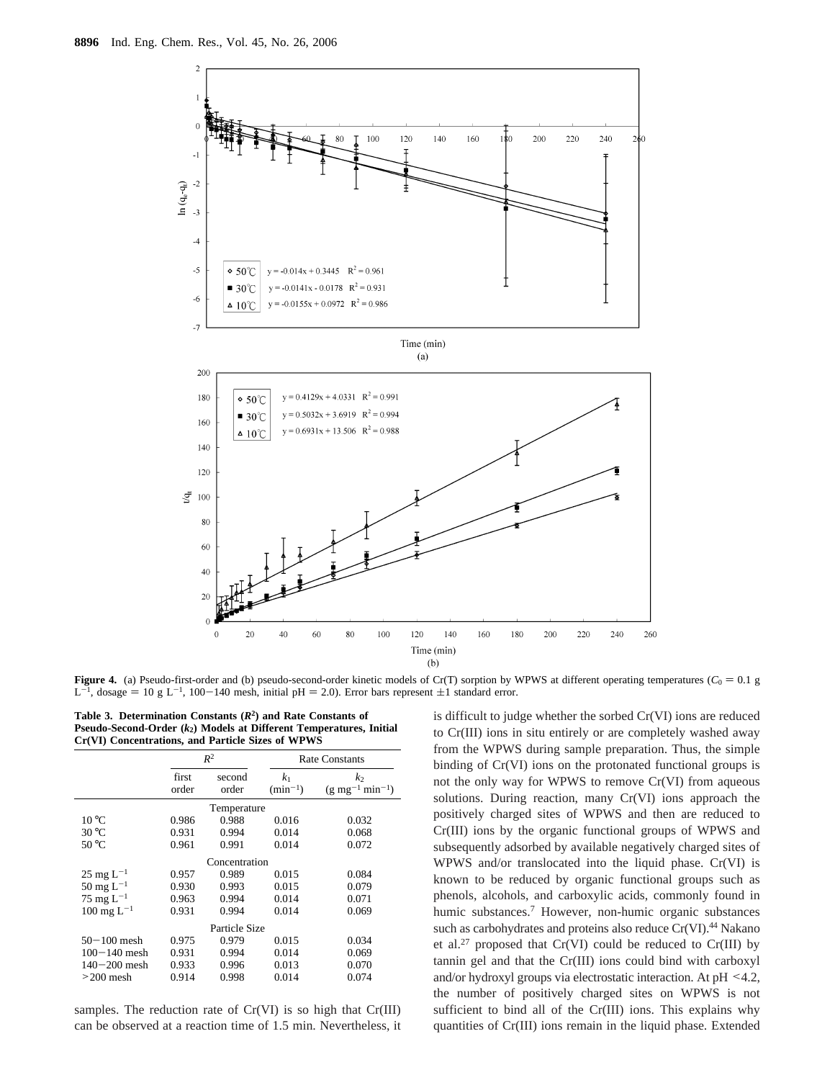

**Figure 4.** (a) Pseudo-first-order and (b) pseudo-second-order kinetic models of Cr(T) sorption by WPWS at different operating temperatures ( $C_0 = 0.1$  g  $L^{-1}$ , dosage = 10 g L<sup>-1</sup>, 100-140 mesh, initial pH = 2.0). Error bars represent  $\pm 1$  standard error.

**Table 3. Determination Constants (***R***2) and Rate Constants of Pseudo-Second-Order (***k***2) Models at Different Temperatures, Initial Cr(VI) Concentrations, and Particle Sizes of WPWS**

|                          |                | $R^2$           | <b>Rate Constants</b>          |                                              |  |  |  |  |
|--------------------------|----------------|-----------------|--------------------------------|----------------------------------------------|--|--|--|--|
|                          | first<br>order | second<br>order | k <sub>1</sub><br>$(min^{-1})$ | k,<br>$(g \text{ mg}^{-1} \text{ min}^{-1})$ |  |  |  |  |
| Temperature              |                |                 |                                |                                              |  |  |  |  |
| $10^{\circ}$ C           | 0.986          | 0.988           | 0.016                          | 0.032                                        |  |  |  |  |
| $30^{\circ}$ C           | 0.931          | 0.994           | 0.014                          | 0.068                                        |  |  |  |  |
| $50^{\circ}$ C           | 0.961          | 0.991           | 0.014                          | 0.072                                        |  |  |  |  |
| Concentration            |                |                 |                                |                                              |  |  |  |  |
| $25 \text{ mg } L^{-1}$  | 0.957          | 0.989           | 0.015                          | 0.084                                        |  |  |  |  |
| $50 \text{ mg } L^{-1}$  | 0.930          | 0.993           | 0.015                          | 0.079                                        |  |  |  |  |
| 75 mg $L^{-1}$           | 0.963          | 0.994           | 0.014                          | 0.071                                        |  |  |  |  |
| $100 \text{ mg } L^{-1}$ | 0.931          | 0.994           | 0.014                          | 0.069                                        |  |  |  |  |
| Particle Size            |                |                 |                                |                                              |  |  |  |  |
| $50 - 100$ mesh          | 0.975          | 0.979           | 0.015                          | 0.034                                        |  |  |  |  |
| $100 - 140$ mesh         | 0.931          | 0.994           | 0.014                          | 0.069                                        |  |  |  |  |
| $140 - 200$ mesh         | 0.933          | 0.996           | 0.013                          | 0.070                                        |  |  |  |  |
| $>200$ mesh              | 0.914          | 0.998           | 0.014                          | 0.074                                        |  |  |  |  |

samples. The reduction rate of Cr(VI) is so high that Cr(III) can be observed at a reaction time of 1.5 min. Nevertheless, it

is difficult to judge whether the sorbed Cr(VI) ions are reduced to Cr(III) ions in situ entirely or are completely washed away from the WPWS during sample preparation. Thus, the simple binding of Cr(VI) ions on the protonated functional groups is not the only way for WPWS to remove Cr(VI) from aqueous solutions. During reaction, many Cr(VI) ions approach the positively charged sites of WPWS and then are reduced to Cr(III) ions by the organic functional groups of WPWS and subsequently adsorbed by available negatively charged sites of WPWS and/or translocated into the liquid phase. Cr(VI) is known to be reduced by organic functional groups such as phenols, alcohols, and carboxylic acids, commonly found in humic substances.<sup>7</sup> However, non-humic organic substances such as carbohydrates and proteins also reduce Cr(VI).<sup>44</sup> Nakano et al.27 proposed that Cr(VI) could be reduced to Cr(III) by tannin gel and that the Cr(III) ions could bind with carboxyl and/or hydroxyl groups via electrostatic interaction. At pH <4.2, the number of positively charged sites on WPWS is not sufficient to bind all of the Cr(III) ions. This explains why quantities of Cr(III) ions remain in the liquid phase. Extended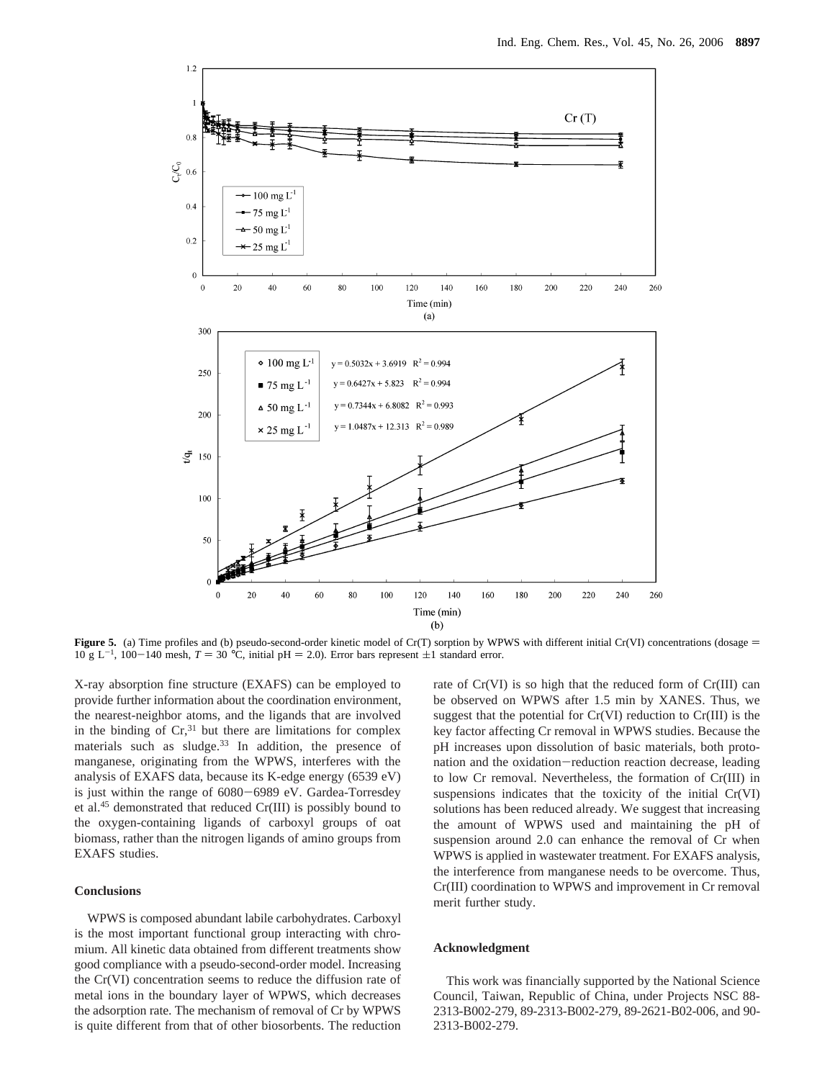

**Figure 5.** (a) Time profiles and (b) pseudo-second-order kinetic model of Cr(T) sorption by WPWS with different initial Cr(VI) concentrations (dosage  $=$  $10 \text{ g L}^{-1}$ ,  $100-140 \text{ mesh}$ ,  $T = 30 \text{ °C}$ , initial pH = 2.0). Error bars represent  $\pm 1$  standard error.

X-ray absorption fine structure (EXAFS) can be employed to provide further information about the coordination environment, the nearest-neighbor atoms, and the ligands that are involved in the binding of  $Cr<sub>1</sub><sup>31</sup>$  but there are limitations for complex materials such as sludge.<sup>33</sup> In addition, the presence of manganese, originating from the WPWS, interferes with the analysis of EXAFS data, because its K-edge energy (6539 eV) is just within the range of 6080-6989 eV. Gardea-Torresdey et al.45 demonstrated that reduced Cr(III) is possibly bound to the oxygen-containing ligands of carboxyl groups of oat biomass, rather than the nitrogen ligands of amino groups from EXAFS studies.

## **Conclusions**

WPWS is composed abundant labile carbohydrates. Carboxyl is the most important functional group interacting with chromium. All kinetic data obtained from different treatments show good compliance with a pseudo-second-order model. Increasing the Cr(VI) concentration seems to reduce the diffusion rate of metal ions in the boundary layer of WPWS, which decreases the adsorption rate. The mechanism of removal of Cr by WPWS is quite different from that of other biosorbents. The reduction rate of Cr(VI) is so high that the reduced form of Cr(III) can be observed on WPWS after 1.5 min by XANES. Thus, we suggest that the potential for  $Cr(VI)$  reduction to  $Cr(III)$  is the key factor affecting Cr removal in WPWS studies. Because the pH increases upon dissolution of basic materials, both protonation and the oxidation-reduction reaction decrease, leading to low Cr removal. Nevertheless, the formation of Cr(III) in suspensions indicates that the toxicity of the initial Cr(VI) solutions has been reduced already. We suggest that increasing the amount of WPWS used and maintaining the pH of suspension around 2.0 can enhance the removal of Cr when WPWS is applied in wastewater treatment. For EXAFS analysis, the interference from manganese needs to be overcome. Thus, Cr(III) coordination to WPWS and improvement in Cr removal merit further study.

#### **Acknowledgment**

This work was financially supported by the National Science Council, Taiwan, Republic of China, under Projects NSC 88- 2313-B002-279, 89-2313-B002-279, 89-2621-B02-006, and 90- 2313-B002-279.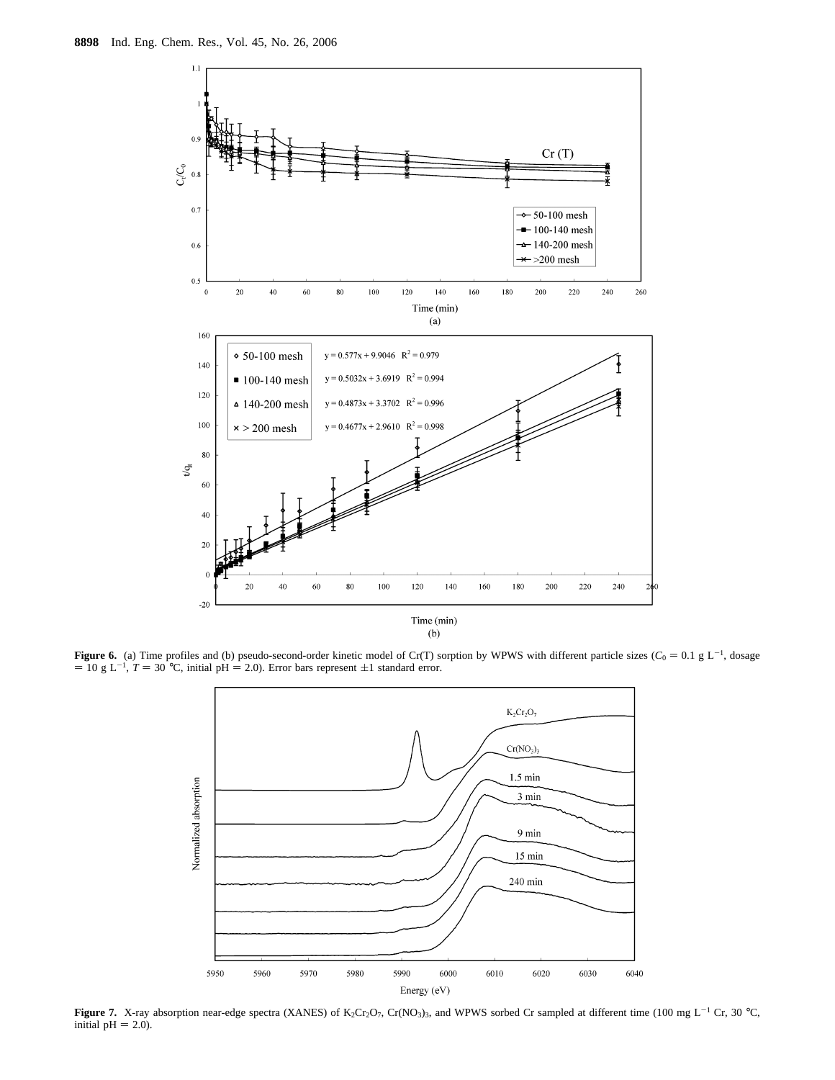

**Figure 6.** (a) Time profiles and (b) pseudo-second-order kinetic model of Cr(T) sorption by WPWS with different particle sizes  $(C_0 = 0.1 \text{ g L}^{-1}$ , dosage = 10 g L<sup>-1</sup>, dosage = 10 g L<sup>-1</sup>  $=$  10 g L<sup>-1</sup>, *T* = 30 °C, initial pH = 2.0). Error bars represent  $\pm$ 1 standard error.



**Figure 7.** X-ray absorption near-edge spectra (XANES) of K<sub>2</sub>Cr<sub>2</sub>O<sub>7</sub>, Cr(NO<sub>3</sub>)<sub>3</sub>, and WPWS sorbed Cr sampled at different time (100 mg L<sup>-1</sup> Cr, 30 °C, initial  $pH = 2.0$ ).